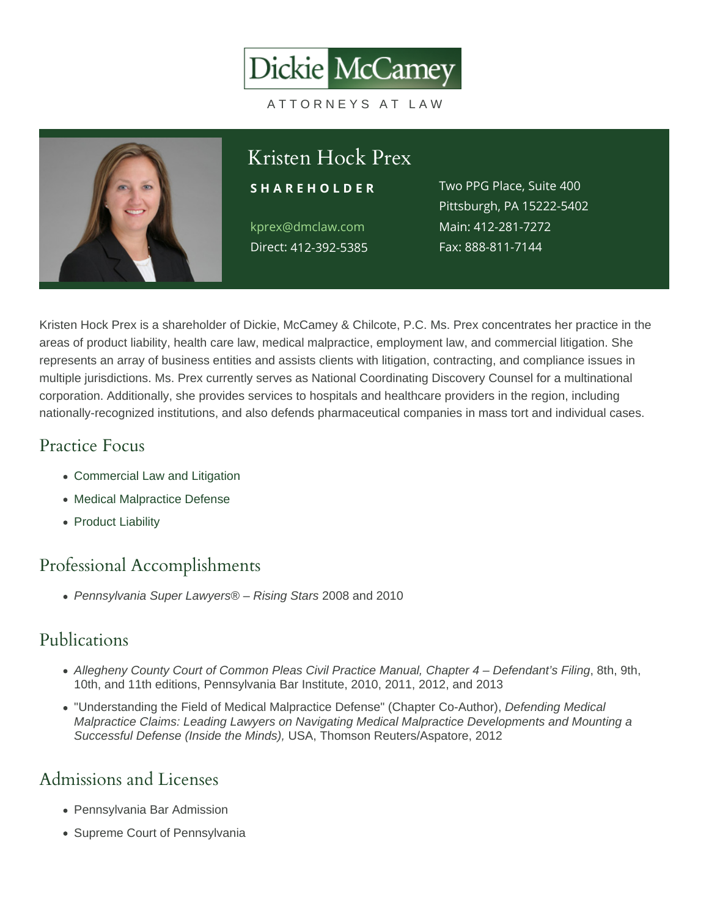# Kristen Hock Prex

kprex@dmclaw.com Direct: 12-392-5385

S H A R E H O L D E RWO PPG Place, Suite 400 Pittsburgh, PA 15222-5402 Main4:12-281-7272 Fax: 888-811-7144

Kristen Hock Prex is a shareholder of Dickie, McCamey & Chilcote, P.C. Ms. Prex concentrates her practice in the areas of product liability, health care law, medical malpractice, employment law, and commercial litigation. She represents an array of business entities and assists clients with litigation, contracting, and compliance issues in multiple jurisdictions. Ms. Prex currently serves as National Coordinating Discovery Counsel for a multinational corporation. Additionally, she provides services to hospitals and healthcare providers in the region, including nationally-recognized institutions, and also defends pharmaceutical companies in mass tort and individual cases.

#### Practice Focus

- [Commercial Law and Litigation](https://www.dmclaw.com/practices/commercial-litigation/)
- [Medical Malpractice Defense](https://www.dmclaw.com/practices/medical-malpractice-defense/)
- [Product Liability](https://www.dmclaw.com/practices/product-liability/)

## Professional Accomplishments

Pennsylvania Super Lawyers® – Rising Stars 2008 and 2010

## Publications

- Allegheny County Court of Common Pleas Civil Practice Manual, Chapter 4 Defendant's Filing, 8th, 9th, 10th, and 11th editions, Pennsylvania Bar Institute, 2010, 2011, 2012, and 2013
- "Understanding the Field of Medical Malpractice Defense" (Chapter Co-Author), Defending Medical Malpractice Claims: Leading Lawyers on Navigating Medical Malpractice Developments and Mounting a Successful Defense (Inside the Minds), USA, Thomson Reuters/Aspatore, 2012

## Admissions and Licenses

- Pennsylvania Bar Admission
- Supreme Court of Pennsylvania